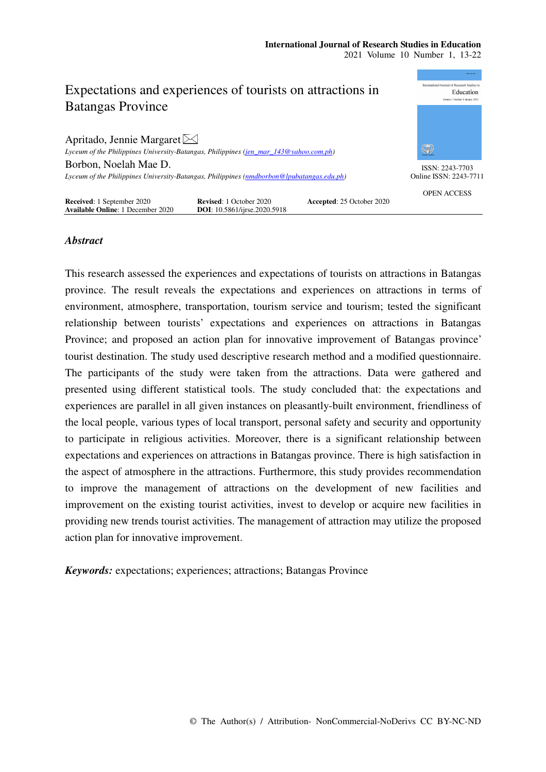

# *Abstract*

This research assessed the experiences and expectations of tourists on attractions in Batangas province. The result reveals the expectations and experiences on attractions in terms of environment, atmosphere, transportation, tourism service and tourism; tested the significant relationship between tourists' expectations and experiences on attractions in Batangas Province; and proposed an action plan for innovative improvement of Batangas province' tourist destination. The study used descriptive research method and a modified questionnaire. The participants of the study were taken from the attractions. Data were gathered and presented using different statistical tools. The study concluded that: the expectations and experiences are parallel in all given instances on pleasantly-built environment, friendliness of the local people, various types of local transport, personal safety and security and opportunity to participate in religious activities. Moreover, there is a significant relationship between expectations and experiences on attractions in Batangas province. There is high satisfaction in the aspect of atmosphere in the attractions. Furthermore, this study provides recommendation to improve the management of attractions on the development of new facilities and improvement on the existing tourist activities, invest to develop or acquire new facilities in providing new trends tourist activities. The management of attraction may utilize the proposed action plan for innovative improvement.

*Keywords:* expectations; experiences; attractions; Batangas Province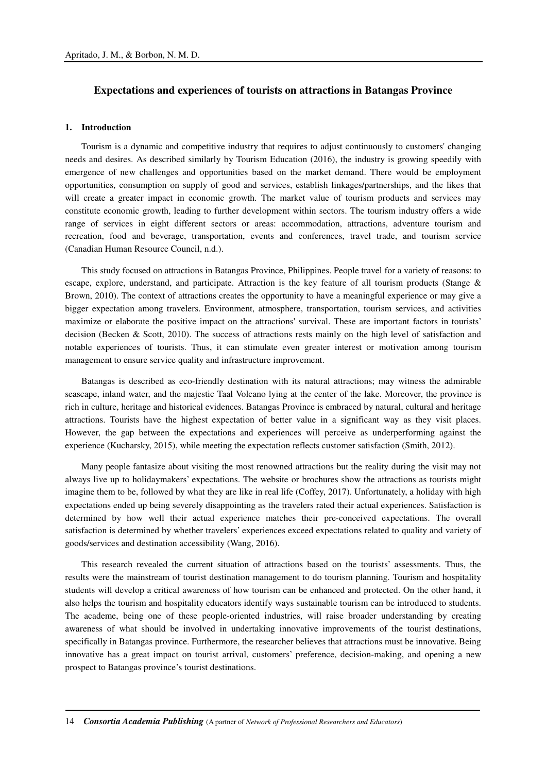# **Expectations and experiences of tourists on attractions in Batangas Province**

### **1. Introduction**

Tourism is a dynamic and competitive industry that requires to adjust continuously to customers' changing needs and desires. As described similarly by Tourism Education (2016), the industry is growing speedily with emergence of new challenges and opportunities based on the market demand. There would be employment opportunities, consumption on supply of good and services, establish linkages/partnerships, and the likes that will create a greater impact in economic growth. The market value of tourism products and services may constitute economic growth, leading to further development within sectors. The tourism industry offers a wide range of services in eight different sectors or areas: accommodation, attractions, adventure tourism and recreation, food and beverage, transportation, events and conferences, travel trade, and tourism service (Canadian Human Resource Council, n.d.).

This study focused on attractions in Batangas Province, Philippines. People travel for a variety of reasons: to escape, explore, understand, and participate. Attraction is the key feature of all tourism products (Stange & Brown, 2010). The context of attractions creates the opportunity to have a meaningful experience or may give a bigger expectation among travelers. Environment, atmosphere, transportation, tourism services, and activities maximize or elaborate the positive impact on the attractions' survival. These are important factors in tourists' decision (Becken & Scott, 2010). The success of attractions rests mainly on the high level of satisfaction and notable experiences of tourists. Thus, it can stimulate even greater interest or motivation among tourism management to ensure service quality and infrastructure improvement.

Batangas is described as eco-friendly destination with its natural attractions; may witness the admirable seascape, inland water, and the majestic Taal Volcano lying at the center of the lake. Moreover, the province is rich in culture, heritage and historical evidences. Batangas Province is embraced by natural, cultural and heritage attractions. Tourists have the highest expectation of better value in a significant way as they visit places. However, the gap between the expectations and experiences will perceive as underperforming against the experience (Kucharsky, 2015), while meeting the expectation reflects customer satisfaction (Smith, 2012).

Many people fantasize about visiting the most renowned attractions but the reality during the visit may not always live up to holidaymakers' expectations. The website or brochures show the attractions as tourists might imagine them to be, followed by what they are like in real life (Coffey, 2017). Unfortunately, a holiday with high expectations ended up being severely disappointing as the travelers rated their actual experiences. Satisfaction is determined by how well their actual experience matches their pre-conceived expectations. The overall satisfaction is determined by whether travelers' experiences exceed expectations related to quality and variety of goods/services and destination accessibility (Wang, 2016).

This research revealed the current situation of attractions based on the tourists' assessments. Thus, the results were the mainstream of tourist destination management to do tourism planning. Tourism and hospitality students will develop a critical awareness of how tourism can be enhanced and protected. On the other hand, it also helps the tourism and hospitality educators identify ways sustainable tourism can be introduced to students. The academe, being one of these people-oriented industries, will raise broader understanding by creating awareness of what should be involved in undertaking innovative improvements of the tourist destinations, specifically in Batangas province. Furthermore, the researcher believes that attractions must be innovative. Being innovative has a great impact on tourist arrival, customers' preference, decision-making, and opening a new prospect to Batangas province's tourist destinations.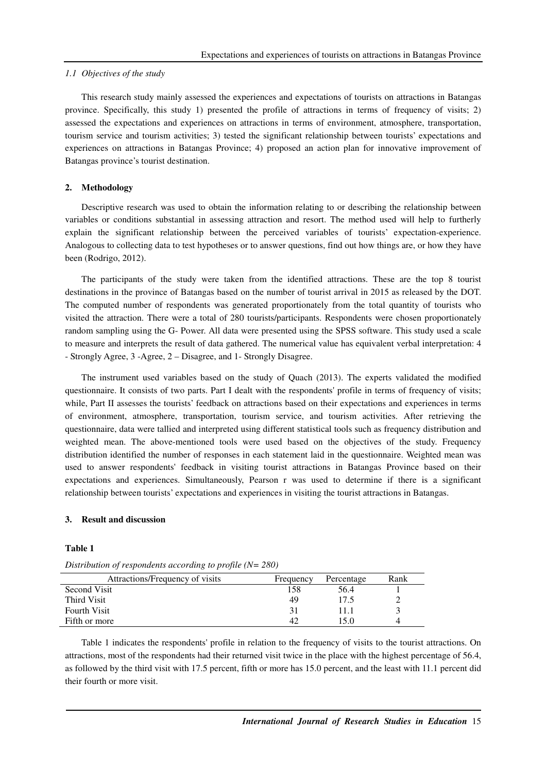#### *1.1 Objectives of the study*

This research study mainly assessed the experiences and expectations of tourists on attractions in Batangas province. Specifically, this study 1) presented the profile of attractions in terms of frequency of visits; 2) assessed the expectations and experiences on attractions in terms of environment, atmosphere, transportation, tourism service and tourism activities; 3) tested the significant relationship between tourists' expectations and experiences on attractions in Batangas Province; 4) proposed an action plan for innovative improvement of Batangas province's tourist destination.

### **2. Methodology**

Descriptive research was used to obtain the information relating to or describing the relationship between variables or conditions substantial in assessing attraction and resort. The method used will help to furtherly explain the significant relationship between the perceived variables of tourists' expectation-experience. Analogous to collecting data to test hypotheses or to answer questions, find out how things are, or how they have been (Rodrigo, 2012).

The participants of the study were taken from the identified attractions. These are the top 8 tourist destinations in the province of Batangas based on the number of tourist arrival in 2015 as released by the DOT. The computed number of respondents was generated proportionately from the total quantity of tourists who visited the attraction. There were a total of 280 tourists/participants. Respondents were chosen proportionately random sampling using the G- Power. All data were presented using the SPSS software. This study used a scale to measure and interprets the result of data gathered. The numerical value has equivalent verbal interpretation: 4 - Strongly Agree, 3 -Agree, 2 – Disagree, and 1- Strongly Disagree.

The instrument used variables based on the study of Quach (2013). The experts validated the modified questionnaire. It consists of two parts. Part I dealt with the respondents' profile in terms of frequency of visits; while, Part II assesses the tourists' feedback on attractions based on their expectations and experiences in terms of environment, atmosphere, transportation, tourism service, and tourism activities. After retrieving the questionnaire, data were tallied and interpreted using different statistical tools such as frequency distribution and weighted mean. The above-mentioned tools were used based on the objectives of the study. Frequency distribution identified the number of responses in each statement laid in the questionnaire. Weighted mean was used to answer respondents' feedback in visiting tourist attractions in Batangas Province based on their expectations and experiences. Simultaneously, Pearson r was used to determine if there is a significant relationship between tourists' expectations and experiences in visiting the tourist attractions in Batangas.

## **3. Result and discussion**

### **Table 1**

| Attractions/Frequency of visits | Frequency | Percentage | Rank |
|---------------------------------|-----------|------------|------|
| <b>Second Visit</b>             | 158       | 56.4       |      |
| Third Visit                     | 49        | 17.5       |      |
| <b>Fourth Visit</b>             | 31        |            |      |
| Fifth or more                   | 42        | 15.0       |      |

*Distribution of respondents according to profile (N= 280)* 

Table 1 indicates the respondents' profile in relation to the frequency of visits to the tourist attractions. On attractions, most of the respondents had their returned visit twice in the place with the highest percentage of 56.4, as followed by the third visit with 17.5 percent, fifth or more has 15.0 percent, and the least with 11.1 percent did their fourth or more visit.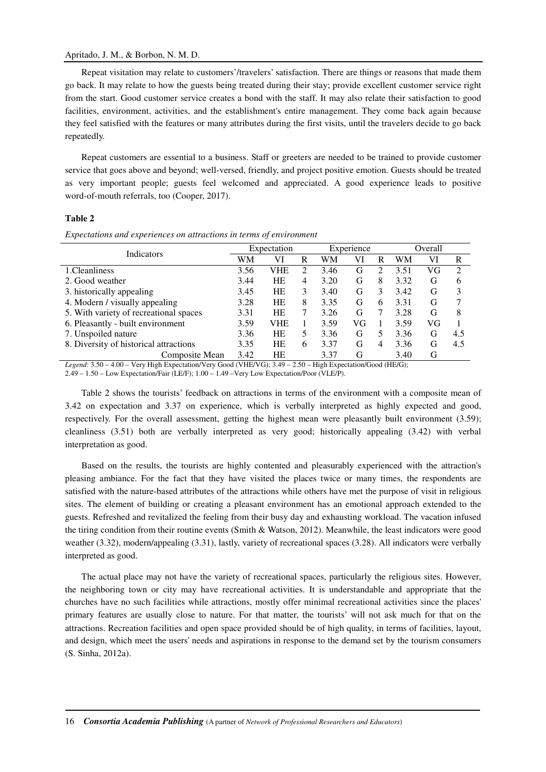### Apritado, J. M., & Borbon, N. M. D.

Repeat visitation may relate to customers'/travelers' satisfaction. There are things or reasons that made them go back. It may relate to how the guests being treated during their stay; provide excellent customer service right from the start. Good customer service creates a bond with the staff. It may also relate their satisfaction to good facilities, environment, activities, and the establishment's entire management. They come back again because they feel satisfied with the features or many attributes during the first visits, until the travelers decide to go back repeatedly.

Repeat customers are essential to a business. Staff or greeters are needed to be trained to provide customer service that goes above and beyond; well-versed, friendly, and project positive emotion. Guests should be treated as very important people; guests feel welcomed and appreciated. A good experience leads to positive word-of-mouth referrals, too (Cooper, 2017).

### **Table 2**

| Indicators                             | Expectation |            |   | Experience |    |                             | Overall |    |     |
|----------------------------------------|-------------|------------|---|------------|----|-----------------------------|---------|----|-----|
|                                        | WM          | VI         | R | WM         | VI | R                           | WM      | VI | R   |
| 1. Cleanliness                         | 3.56        | VHE        | 2 | 3.46       | G  | $\mathcal{D}_{\mathcal{A}}$ | 3.51    | VG | 2   |
| 2. Good weather                        | 3.44        | HE         | 4 | 3.20       | G  | 8                           | 3.32    | G  | 6   |
| 3. historically appealing              | 3.45        | <b>HE</b>  | 3 | 3.40       | G  | 3                           | 3.42    | G  | 3   |
| 4. Modern / visually appealing         | 3.28        | HE         | 8 | 3.35       | G  | 6                           | 3.31    | G  |     |
| 5. With variety of recreational spaces | 3.31        | HE         | 7 | 3.26       | G  | 7                           | 3.28    | G  | 8   |
| 6. Pleasantly - built environment      | 3.59        | <b>VHE</b> |   | 3.59       | VG |                             | 3.59    | VG |     |
| 7. Unspoiled nature                    | 3.36        | HE         | 5 | 3.36       | G  | 5                           | 3.36    | G  | 4.5 |
| 8. Diversity of historical attractions | 3.35        | HE         | 6 | 3.37       | G  | 4                           | 3.36    | G  | 4.5 |
| Composite Mean                         | 3.42        | HE         |   | 3.37       | G  |                             | 3.40    | G  |     |

*Expectations and experiences on attractions in terms of environment* 

*Legend*: 3.50 – 4.00 – Very High Expectation/Very Good (VHE/VG); 3.49 – 2.50 – High Expectation/Good (HE/G); 2.49 – 1.50 – Low Expectation/Fair (LE/F); 1.00 – 1.49 –Very Low Expectation/Poor (VLE/P).

Table 2 shows the tourists' feedback on attractions in terms of the environment with a composite mean of 3.42 on expectation and 3.37 on experience, which is verbally interpreted as highly expected and good, respectively. For the overall assessment, getting the highest mean were pleasantly built environment (3.59); cleanliness (3.51) both are verbally interpreted as very good; historically appealing (3.42) with verbal interpretation as good.

Based on the results, the tourists are highly contented and pleasurably experienced with the attraction's pleasing ambiance. For the fact that they have visited the places twice or many times, the respondents are satisfied with the nature-based attributes of the attractions while others have met the purpose of visit in religious sites. The element of building or creating a pleasant environment has an emotional approach extended to the guests. Refreshed and revitalized the feeling from their busy day and exhausting workload. The vacation infused the tiring condition from their routine events (Smith & Watson, 2012). Meanwhile, the least indicators were good weather (3.32), modern/appealing (3.31), lastly, variety of recreational spaces (3.28). All indicators were verbally interpreted as good.

The actual place may not have the variety of recreational spaces, particularly the religious sites. However, the neighboring town or city may have recreational activities. It is understandable and appropriate that the churches have no such facilities while attractions, mostly offer minimal recreational activities since the places' primary features are usually close to nature. For that matter, the tourists' will not ask much for that on the attractions. Recreation facilities and open space provided should be of high quality, in terms of facilities, layout, and design, which meet the users' needs and aspirations in response to the demand set by the tourism consumers (S. Sinha, 2012a).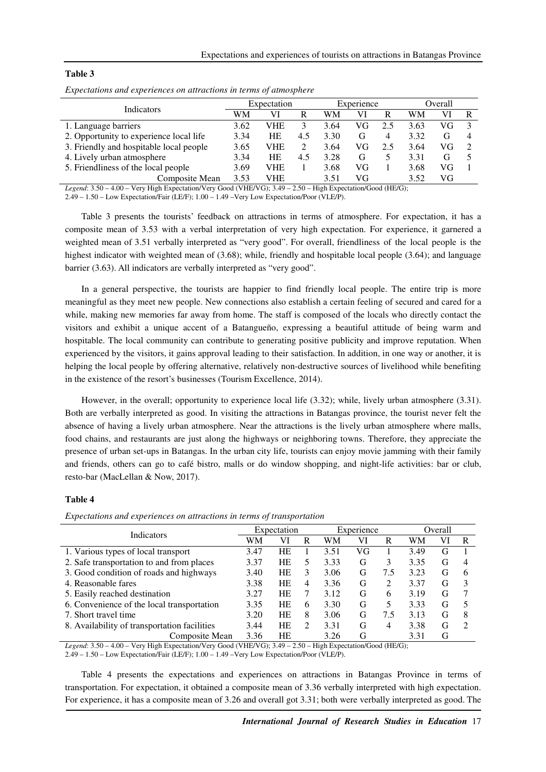| `able |  |
|-------|--|
|-------|--|

| <b>Indicators</b>                       | Expectation |           |     | Experience |    |     | Overall |    |   |
|-----------------------------------------|-------------|-----------|-----|------------|----|-----|---------|----|---|
|                                         | WM          | VI        | R   | WM         | VI | R   | WM      | VI | R |
| 1. Language barriers                    | 3.62        | VHE       |     | 3.64       | VG | 2.5 | 3.63    | VG |   |
| 2. Opportunity to experience local life | 3.34        | <b>HE</b> | 4.5 | 3.30       | G  | 4   | 3.32    | G  |   |
| 3. Friendly and hospitable local people | 3.65        | VHE       |     | 3.64       | VG | 2.5 | 3.64    | VG |   |
| 4. Lively urban atmosphere              | 3.34        | <b>HE</b> | 4.5 | 3.28       | G  |     | 3.31    | G  |   |
| 5. Friendliness of the local people     | 3.69        | VHE       |     | 3.68       | VG |     | 3.68    | VG |   |
| Composite Mean                          | 3.53        | VHE       |     | 3.51       | VG |     | 3.52    | VG |   |

|  | Expectations and experiences on attractions in terms of atmosphere |
|--|--------------------------------------------------------------------|
|  |                                                                    |

*Legend*: 3.50 – 4.00 – Very High Expectation/Very Good (VHE/VG); 3.49 – 2.50 – High Expectation/Good (HE/G);

2.49 – 1.50 – Low Expectation/Fair (LE/F); 1.00 – 1.49 –Very Low Expectation/Poor (VLE/P).

Table 3 presents the tourists' feedback on attractions in terms of atmosphere. For expectation, it has a composite mean of 3.53 with a verbal interpretation of very high expectation. For experience, it garnered a weighted mean of 3.51 verbally interpreted as "very good". For overall, friendliness of the local people is the highest indicator with weighted mean of (3.68); while, friendly and hospitable local people (3.64); and language barrier (3.63). All indicators are verbally interpreted as "very good".

In a general perspective, the tourists are happier to find friendly local people. The entire trip is more meaningful as they meet new people. New connections also establish a certain feeling of secured and cared for a while, making new memories far away from home. The staff is composed of the locals who directly contact the visitors and exhibit a unique accent of a Batangueño, expressing a beautiful attitude of being warm and hospitable. The local community can contribute to generating positive publicity and improve reputation. When experienced by the visitors, it gains approval leading to their satisfaction. In addition, in one way or another, it is helping the local people by offering alternative, relatively non-destructive sources of livelihood while benefiting in the existence of the resort's businesses (Tourism Excellence, 2014).

However, in the overall; opportunity to experience local life (3.32); while, lively urban atmosphere (3.31). Both are verbally interpreted as good. In visiting the attractions in Batangas province, the tourist never felt the absence of having a lively urban atmosphere. Near the attractions is the lively urban atmosphere where malls, food chains, and restaurants are just along the highways or neighboring towns. Therefore, they appreciate the presence of urban set-ups in Batangas. In the urban city life, tourists can enjoy movie jamming with their family and friends, others can go to café bistro, malls or do window shopping, and night-life activities: bar or club, resto-bar (MacLellan & Now, 2017).

## **Table 4**

*Expectations and experiences on attractions in terms of transportation* 

| <b>Indicators</b>                            |      | Expectation |                | Experience |    |                             | Overall |    |   |
|----------------------------------------------|------|-------------|----------------|------------|----|-----------------------------|---------|----|---|
|                                              |      | VI          | R              | WM         | VI | R                           | WM      | VI | R |
| 1. Various types of local transport          | 3.47 | HE          |                | 3.51       | VG |                             | 3.49    | G  |   |
| 2. Safe transportation to and from places    | 3.37 | HE          | 5              | 3.33       | G  | 3                           | 3.35    | G  | 4 |
| 3. Good condition of roads and highways      | 3.40 | HE          | 3              | 3.06       | G  | 7.5                         | 3.23    | G  | h |
| 4. Reasonable fares                          | 3.38 | <b>HE</b>   | $\overline{4}$ | 3.36       | G  | $\mathcal{D}_{\mathcal{L}}$ | 3.37    | G  |   |
| 5. Easily reached destination                | 3.27 | HE          | 7              | 3.12       | G  | 6                           | 3.19    | G  |   |
| 6. Convenience of the local transportation   | 3.35 | <b>HE</b>   | 6              | 3.30       | G  |                             | 3.33    | G  |   |
| 7. Short travel time                         | 3.20 | HE          | 8              | 3.06       | G  | 7.5                         | 3.13    | G  |   |
| 8. Availability of transportation facilities | 3.44 | HE          | $\mathfrak{D}$ | 3.31       | G  | 4                           | 3.38    | G  |   |
| Composite Mean                               | 3.36 | HE          |                | 3.26       | G  |                             | 3.31    | G  |   |

*Legend*: 3.50 – 4.00 – Very High Expectation/Very Good (VHE/VG); 3.49 – 2.50 – High Expectation/Good (HE/G);

2.49 – 1.50 – Low Expectation/Fair (LE/F); 1.00 – 1.49 –Very Low Expectation/Poor (VLE/P).

Table 4 presents the expectations and experiences on attractions in Batangas Province in terms of transportation. For expectation, it obtained a composite mean of 3.36 verbally interpreted with high expectation. For experience, it has a composite mean of 3.26 and overall got 3.31; both were verbally interpreted as good. The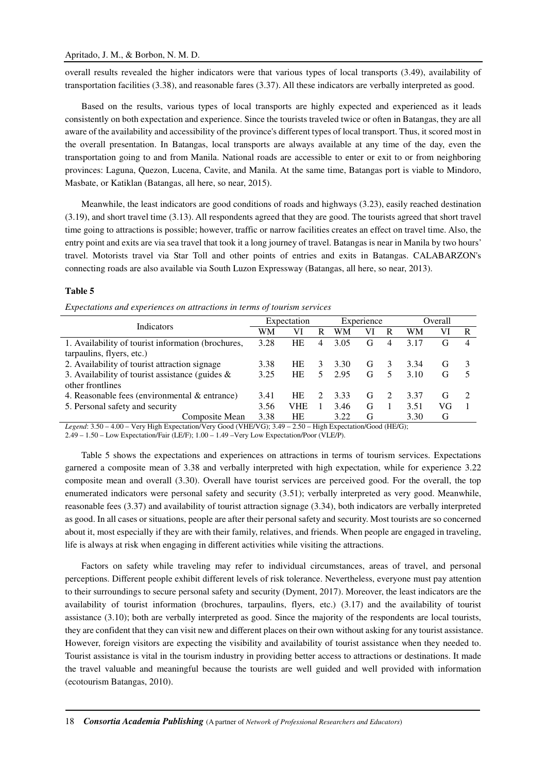overall results revealed the higher indicators were that various types of local transports (3.49), availability of transportation facilities (3.38), and reasonable fares (3.37). All these indicators are verbally interpreted as good.

Based on the results, various types of local transports are highly expected and experienced as it leads consistently on both expectation and experience. Since the tourists traveled twice or often in Batangas, they are all aware of the availability and accessibility of the province's different types of local transport. Thus, it scored most in the overall presentation. In Batangas, local transports are always available at any time of the day, even the transportation going to and from Manila. National roads are accessible to enter or exit to or from neighboring provinces: Laguna, Quezon, Lucena, Cavite, and Manila. At the same time, Batangas port is viable to Mindoro, Masbate, or Katiklan (Batangas, all here, so near, 2015).

Meanwhile, the least indicators are good conditions of roads and highways (3.23), easily reached destination (3.19), and short travel time (3.13). All respondents agreed that they are good. The tourists agreed that short travel time going to attractions is possible; however, traffic or narrow facilities creates an effect on travel time. Also, the entry point and exits are via sea travel that took it a long journey of travel. Batangas is near in Manila by two hours' travel. Motorists travel via Star Toll and other points of entries and exits in Batangas. CALABARZON's connecting roads are also available via South Luzon Expressway (Batangas, all here, so near, 2013).

#### **Table 5**

| Expectations and experiences on attractions in terms of tourism services |  |  |  |
|--------------------------------------------------------------------------|--|--|--|
|                                                                          |  |  |  |

| Indicators                                         | Expectation |            |    | Experience |    |    | Overall |    |   |
|----------------------------------------------------|-------------|------------|----|------------|----|----|---------|----|---|
|                                                    | WM          | VI         | R  | WM         | VI | R  | WM      | VI | R |
| 1. Availability of tourist information (brochures, | 3.28        | <b>HE</b>  | 4  | 3.05       | G  | 4  | 3.17    | Gì | 4 |
| tarpaulins, flyers, etc.)                          |             |            |    |            |    |    |         |    |   |
| 2. Availability of tourist attraction signage      |             | <b>HE</b>  | 3  | 3.30       | G  |    | 3.34    | G, |   |
| 3. Availability of tourist assistance (guides $\&$ |             | HE         | 5. | 2.95       | G  | 5. | 3.10    | G  |   |
| other frontlines                                   |             |            |    |            |    |    |         |    |   |
| 4. Reasonable fees (environmental $\&$ entrance)   |             | HE         |    | 3.33       | G  |    | 3.37    | G  |   |
| 5. Personal safety and security                    | 3.56        | <b>VHE</b> |    | 3.46       | G  |    | 3.51    | VG |   |
| Composite Mean                                     | 3.38        | <b>HE</b>  |    | 3.22       | G  |    | 3.30    | G  |   |

*Legend*: 3.50 – 4.00 – Very High Expectation/Very Good (VHE/VG); 3.49 – 2.50 – High Expectation/Good (HE/G);

2.49 – 1.50 – Low Expectation/Fair (LE/F); 1.00 – 1.49 –Very Low Expectation/Poor (VLE/P).

Table 5 shows the expectations and experiences on attractions in terms of tourism services. Expectations garnered a composite mean of 3.38 and verbally interpreted with high expectation, while for experience 3.22 composite mean and overall (3.30). Overall have tourist services are perceived good. For the overall, the top enumerated indicators were personal safety and security (3.51); verbally interpreted as very good. Meanwhile, reasonable fees (3.37) and availability of tourist attraction signage (3.34), both indicators are verbally interpreted as good. In all cases or situations, people are after their personal safety and security. Most tourists are so concerned about it, most especially if they are with their family, relatives, and friends. When people are engaged in traveling, life is always at risk when engaging in different activities while visiting the attractions.

Factors on safety while traveling may refer to individual circumstances, areas of travel, and personal perceptions. Different people exhibit different levels of risk tolerance. Nevertheless, everyone must pay attention to their surroundings to secure personal safety and security (Dyment, 2017). Moreover, the least indicators are the availability of tourist information (brochures, tarpaulins, flyers, etc.) (3.17) and the availability of tourist assistance (3.10); both are verbally interpreted as good. Since the majority of the respondents are local tourists, they are confident that they can visit new and different places on their own without asking for any tourist assistance. However, foreign visitors are expecting the visibility and availability of tourist assistance when they needed to. Tourist assistance is vital in the tourism industry in providing better access to attractions or destinations. It made the travel valuable and meaningful because the tourists are well guided and well provided with information (ecotourism Batangas, 2010).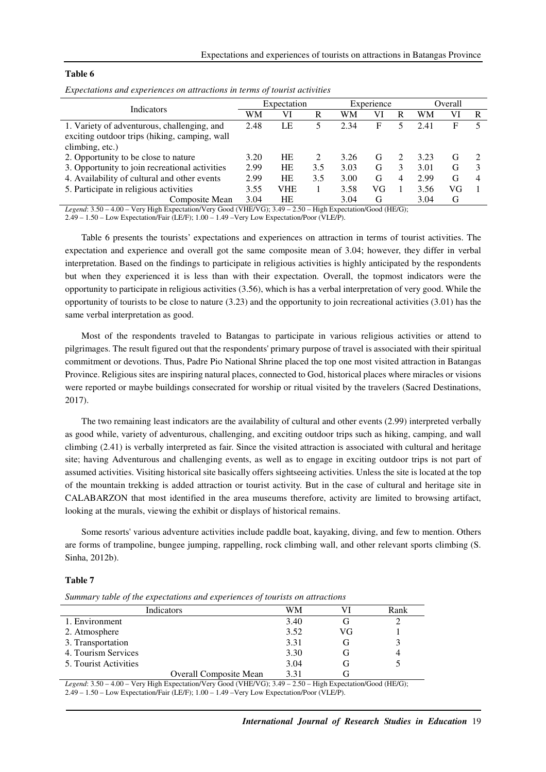#### **Table 6**

| Expectation |     |     | Experience |    |   | Overall |    |   |
|-------------|-----|-----|------------|----|---|---------|----|---|
| WМ          | Vl  | R   | WM         | VI | R | WM      | VI | R |
| 2.48        | LE  |     | 2.34       | F  |   | 2.41    | F  |   |
|             |     |     |            |    |   |         |    |   |
|             |     |     |            |    |   |         |    |   |
| 3.20        | HE  |     | 3.26       | G  |   | 3.23    | G  |   |
| 2.99        | HE  | 3.5 | 3.03       | G  | 3 | 3.01    | G  |   |
| 2.99        | HE  | 3.5 | 3.00       | G  |   | 2.99    | G  | 4 |
| 3.55        | VHE |     | 3.58       | VG |   | 3.56    | VG |   |
| 3.04        | HE  |     | 3.04       | G  |   | 3.04    | G  |   |
|             |     |     |            |    |   |         |    |   |

*Expectations and experiences on attractions in terms of tourist activities* 

*Legend*: 3.50 – 4.00 – Very High Expectation/Very Good (VHE/VG); 3.49 – 2.50 – High Expectation/Good (HE/G);

2.49 – 1.50 – Low Expectation/Fair (LE/F); 1.00 – 1.49 –Very Low Expectation/Poor (VLE/P).

Table 6 presents the tourists' expectations and experiences on attraction in terms of tourist activities. The expectation and experience and overall got the same composite mean of 3.04; however, they differ in verbal interpretation. Based on the findings to participate in religious activities is highly anticipated by the respondents but when they experienced it is less than with their expectation. Overall, the topmost indicators were the opportunity to participate in religious activities (3.56), which is has a verbal interpretation of very good. While the opportunity of tourists to be close to nature (3.23) and the opportunity to join recreational activities (3.01) has the same verbal interpretation as good.

Most of the respondents traveled to Batangas to participate in various religious activities or attend to pilgrimages. The result figured out that the respondents' primary purpose of travel is associated with their spiritual commitment or devotions. Thus, Padre Pio National Shrine placed the top one most visited attraction in Batangas Province. Religious sites are inspiring natural places, connected to God, historical places where miracles or visions were reported or maybe buildings consecrated for worship or ritual visited by the travelers (Sacred Destinations, 2017).

The two remaining least indicators are the availability of cultural and other events (2.99) interpreted verbally as good while, variety of adventurous, challenging, and exciting outdoor trips such as hiking, camping, and wall climbing (2.41) is verbally interpreted as fair. Since the visited attraction is associated with cultural and heritage site; having Adventurous and challenging events, as well as to engage in exciting outdoor trips is not part of assumed activities. Visiting historical site basically offers sightseeing activities. Unless the site is located at the top of the mountain trekking is added attraction or tourist activity. But in the case of cultural and heritage site in CALABARZON that most identified in the area museums therefore, activity are limited to browsing artifact, looking at the murals, viewing the exhibit or displays of historical remains.

Some resorts' various adventure activities include paddle boat, kayaking, diving, and few to mention. Others are forms of trampoline, bungee jumping, rappelling, rock climbing wall, and other relevant sports climbing (S. Sinha, 2012b).

### **Table 7**

|  | Summary table of the expectations and experiences of tourists on attractions |  |  |
|--|------------------------------------------------------------------------------|--|--|
|  |                                                                              |  |  |

| Indicators                    | WМ   |    | Rank |
|-------------------------------|------|----|------|
| 1. Environment                | 3.40 |    |      |
| 2. Atmosphere                 | 3.52 | VG |      |
| 3. Transportation             | 3.31 | (÷ |      |
| 4. Tourism Services           | 3.30 | (÷ |      |
| 5. Tourist Activities         | 3.04 | (ì |      |
| <b>Overall Composite Mean</b> | 3.31 |    |      |

*Legend*: 3.50 – 4.00 – Very High Expectation/Very Good (VHE/VG); 3.49 – 2.50 – High Expectation/Good (HE/G); 2.49 – 1.50 – Low Expectation/Fair (LE/F); 1.00 – 1.49 –Very Low Expectation/Poor (VLE/P).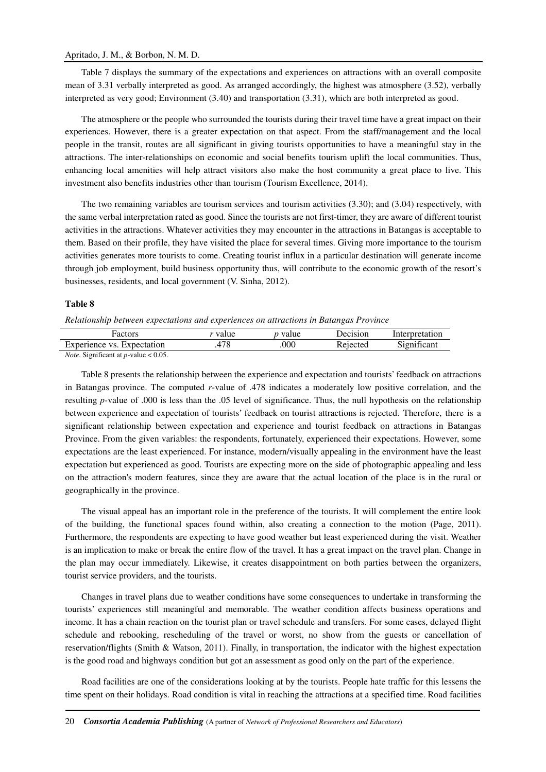#### Apritado, J. M., & Borbon, N. M. D.

Table 7 displays the summary of the expectations and experiences on attractions with an overall composite mean of 3.31 verbally interpreted as good. As arranged accordingly, the highest was atmosphere (3.52), verbally interpreted as very good; Environment (3.40) and transportation (3.31), which are both interpreted as good.

The atmosphere or the people who surrounded the tourists during their travel time have a great impact on their experiences. However, there is a greater expectation on that aspect. From the staff/management and the local people in the transit, routes are all significant in giving tourists opportunities to have a meaningful stay in the attractions. The inter-relationships on economic and social benefits tourism uplift the local communities. Thus, enhancing local amenities will help attract visitors also make the host community a great place to live. This investment also benefits industries other than tourism (Tourism Excellence, 2014).

The two remaining variables are tourism services and tourism activities (3.30); and (3.04) respectively, with the same verbal interpretation rated as good. Since the tourists are not first-timer, they are aware of different tourist activities in the attractions. Whatever activities they may encounter in the attractions in Batangas is acceptable to them. Based on their profile, they have visited the place for several times. Giving more importance to the tourism activities generates more tourists to come. Creating tourist influx in a particular destination will generate income through job employment, build business opportunity thus, will contribute to the economic growth of the resort's businesses, residents, and local government (V. Sinha, 2012).

#### **Table 8**

#### *Relationship between expectations and experiences on attractions in Batangas Province*

| Factors                       | value                | <i>p</i> value | Decision | Interpretation        |
|-------------------------------|----------------------|----------------|----------|-----------------------|
| Experience vs.<br>Expectation | $\neg$ $\circ$<br>70 | 000            | Rejected | $\sim$<br>31gnificant |

*Note*. Significant at *p*-value < 0.05.

Table 8 presents the relationship between the experience and expectation and tourists' feedback on attractions in Batangas province. The computed *r*-value of .478 indicates a moderately low positive correlation, and the resulting *p-*value of .000 is less than the .05 level of significance. Thus, the null hypothesis on the relationship between experience and expectation of tourists' feedback on tourist attractions is rejected. Therefore, there is a significant relationship between expectation and experience and tourist feedback on attractions in Batangas Province. From the given variables: the respondents, fortunately, experienced their expectations. However, some expectations are the least experienced. For instance, modern/visually appealing in the environment have the least expectation but experienced as good. Tourists are expecting more on the side of photographic appealing and less on the attraction's modern features, since they are aware that the actual location of the place is in the rural or geographically in the province.

The visual appeal has an important role in the preference of the tourists. It will complement the entire look of the building, the functional spaces found within, also creating a connection to the motion (Page, 2011). Furthermore, the respondents are expecting to have good weather but least experienced during the visit. Weather is an implication to make or break the entire flow of the travel. It has a great impact on the travel plan. Change in the plan may occur immediately. Likewise, it creates disappointment on both parties between the organizers, tourist service providers, and the tourists.

Changes in travel plans due to weather conditions have some consequences to undertake in transforming the tourists' experiences still meaningful and memorable. The weather condition affects business operations and income. It has a chain reaction on the tourist plan or travel schedule and transfers. For some cases, delayed flight schedule and rebooking, rescheduling of the travel or worst, no show from the guests or cancellation of reservation/flights (Smith & Watson, 2011). Finally, in transportation, the indicator with the highest expectation is the good road and highways condition but got an assessment as good only on the part of the experience.

Road facilities are one of the considerations looking at by the tourists. People hate traffic for this lessens the time spent on their holidays. Road condition is vital in reaching the attractions at a specified time. Road facilities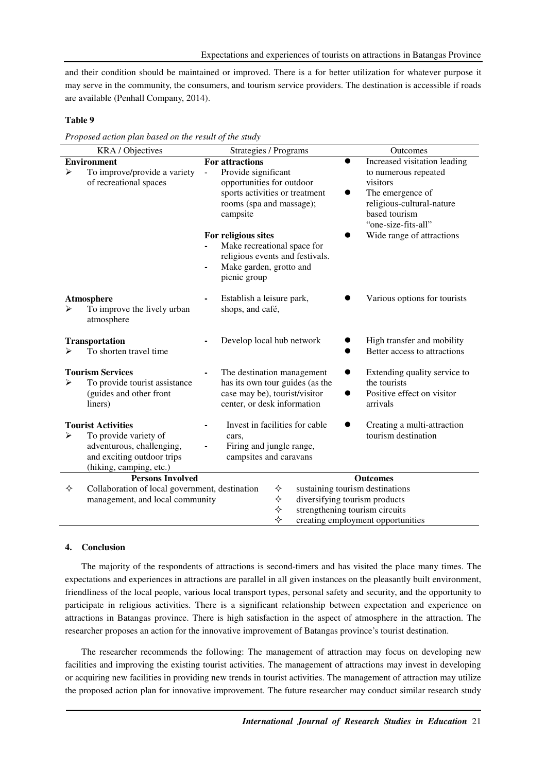and their condition should be maintained or improved. There is a for better utilization for whatever purpose it may serve in the community, the consumers, and tourism service providers. The destination is accessible if roads are available (Penhall Company, 2014).

## **Table 9**

*Proposed action plan based on the result of the study* 

|                                                                                                     | KRA / Objectives                                                                                                                         | Strategies / Programs                                                                                                                                            | Outcomes                                                                                                                  |
|-----------------------------------------------------------------------------------------------------|------------------------------------------------------------------------------------------------------------------------------------------|------------------------------------------------------------------------------------------------------------------------------------------------------------------|---------------------------------------------------------------------------------------------------------------------------|
| <b>Environment</b>                                                                                  |                                                                                                                                          | For attractions                                                                                                                                                  | Increased visitation leading<br>$\bullet$                                                                                 |
| ≻                                                                                                   | To improve/provide a variety<br>of recreational spaces                                                                                   | Provide significant<br>$\equiv$<br>opportunities for outdoor<br>sports activities or treatment<br>rooms (spa and massage);<br>campsite                           | to numerous repeated<br>visitors<br>The emergence of<br>religious-cultural-nature<br>based tourism<br>"one-size-fits-all" |
|                                                                                                     |                                                                                                                                          | For religious sites<br>Make recreational space for<br>religious events and festivals.<br>Make garden, grotto and<br>$\qquad \qquad \blacksquare$<br>picnic group | Wide range of attractions                                                                                                 |
|                                                                                                     | Atmosphere<br>To improve the lively urban<br>atmosphere                                                                                  | Establish a leisure park,<br>shops, and café,                                                                                                                    | Various options for tourists                                                                                              |
|                                                                                                     | <b>Transportation</b><br>To shorten travel time                                                                                          | Develop local hub network                                                                                                                                        | High transfer and mobility<br>Better access to attractions                                                                |
| <b>Tourism Services</b><br>To provide tourist assistance<br>⋗<br>(guides and other front<br>liners) |                                                                                                                                          | The destination management<br>has its own tour guides (as the<br>case may be), tourist/visitor<br>center, or desk information                                    | Extending quality service to<br>$\bullet$<br>the tourists<br>Positive effect on visitor<br>arrivals                       |
| ➤                                                                                                   | <b>Tourist Activities</b><br>To provide variety of<br>adventurous, challenging,<br>and exciting outdoor trips<br>(hiking, camping, etc.) | Invest in facilities for cable<br>cars,<br>Firing and jungle range,<br>campsites and caravans                                                                    | Creating a multi-attraction<br>tourism destination                                                                        |
| <b>Persons Involved</b><br><b>Outcomes</b>                                                          |                                                                                                                                          |                                                                                                                                                                  |                                                                                                                           |
| ✧                                                                                                   | Collaboration of local government, destination<br>management, and local community                                                        | ✧<br>sustaining tourism destinations<br>♦<br>diversifying tourism products<br>✧<br>strengthening tourism circuits<br>❖<br>creating employment opportunities      |                                                                                                                           |

## **4. Conclusion**

The majority of the respondents of attractions is second-timers and has visited the place many times. The expectations and experiences in attractions are parallel in all given instances on the pleasantly built environment, friendliness of the local people, various local transport types, personal safety and security, and the opportunity to participate in religious activities. There is a significant relationship between expectation and experience on attractions in Batangas province. There is high satisfaction in the aspect of atmosphere in the attraction. The researcher proposes an action for the innovative improvement of Batangas province's tourist destination.

The researcher recommends the following: The management of attraction may focus on developing new facilities and improving the existing tourist activities. The management of attractions may invest in developing or acquiring new facilities in providing new trends in tourist activities. The management of attraction may utilize the proposed action plan for innovative improvement. The future researcher may conduct similar research study